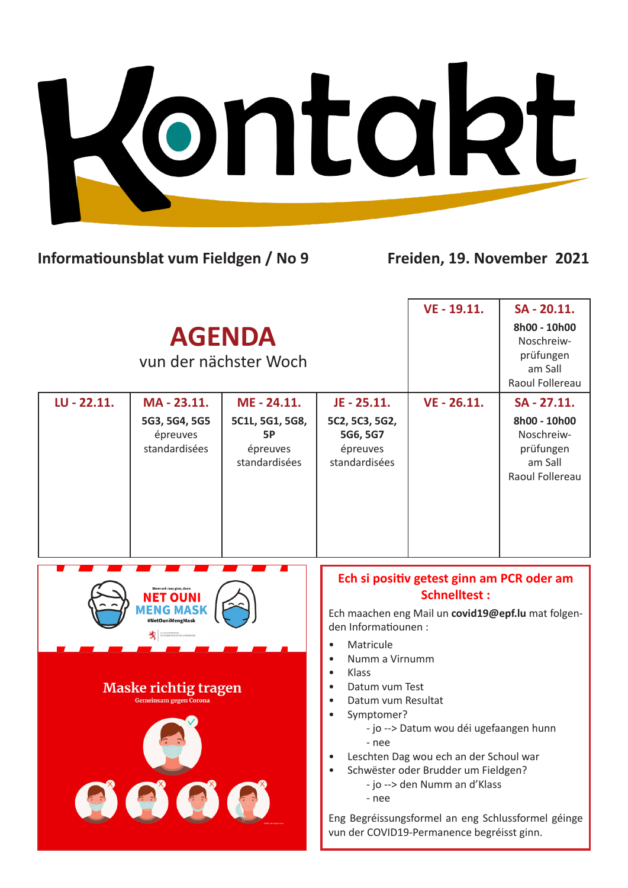Kontakt

## **Informatiounsblat vum Fieldgen / No 9 Freiden, 19. November 2021**

|                                        |                                                              |                                                    |                                                                                                                                        | $VE - 19.11.$                                                                                                                                                                                                                                               | SA - 20.11.                                                           |
|----------------------------------------|--------------------------------------------------------------|----------------------------------------------------|----------------------------------------------------------------------------------------------------------------------------------------|-------------------------------------------------------------------------------------------------------------------------------------------------------------------------------------------------------------------------------------------------------------|-----------------------------------------------------------------------|
| <b>AGENDA</b><br>vun der nächster Woch |                                                              |                                                    |                                                                                                                                        |                                                                                                                                                                                                                                                             | 8h00 - 10h00<br>Noschreiw-<br>prüfungen<br>am Sall<br>Raoul Follereau |
| LU - 22.11.                            | MA-23.11.                                                    | ME - 24.11.                                        | JE - 25.11.                                                                                                                            | $VE - 26.11.$                                                                                                                                                                                                                                               | SA - 27.11.                                                           |
|                                        | 5G3, 5G4, 5G5<br>épreuves<br>standardisées                   | 5C1L, 5G1, 5G8,<br>5P<br>épreuves<br>standardisées | 5C2, 5C3, 5G2,<br>5G6, 5G7<br>épreuves<br>standardisées                                                                                |                                                                                                                                                                                                                                                             | 8h00 - 10h00<br>Noschreiw-<br>prüfungen<br>am Sall<br>Raoul Follereau |
| #NetOuniMengMask                       |                                                              |                                                    |                                                                                                                                        |                                                                                                                                                                                                                                                             |                                                                       |
|                                        |                                                              |                                                    | den Informatiounen :<br>Matricule                                                                                                      | Ech si positiv getest ginn am PCR oder am<br><b>Schnelltest:</b><br>Ech maachen eng Mail un covid19@epf.lu mat folgen-                                                                                                                                      |                                                                       |
|                                        | <b>Maske richtig tragen</b><br><b>Gemeinsam gegen Corona</b> |                                                    | Numm a Virnumm<br>$\bullet$<br>Klass<br>$\bullet$<br>Datum vum Test<br>$\bullet$<br>Datum vum Resultat<br>Symptomer?<br>- nee<br>- nee | - jo --> Datum wou déi ugefaangen hunn<br>Leschten Dag wou ech an der Schoul war<br>Schwëster oder Brudder um Fieldgen?<br>- jo --> den Numm an d'Klass<br>Eng Begréissungsformel an eng Schlussformel géinge<br>vun der COVID19-Permanence begréisst ginn. |                                                                       |